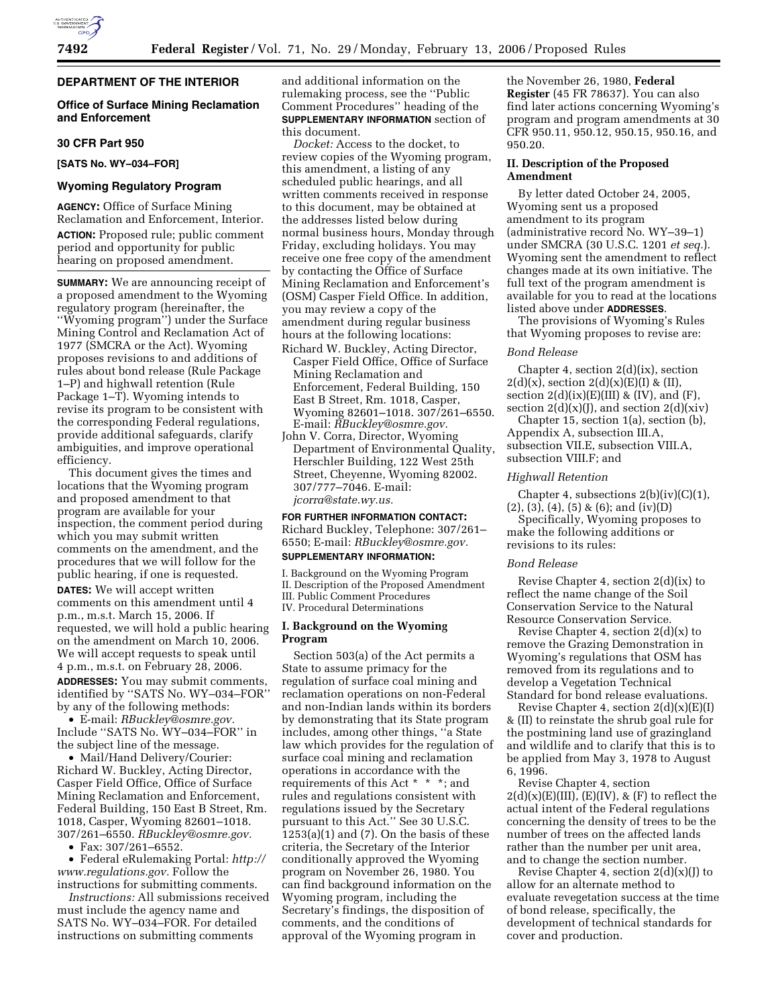# **DEPARTMENT OF THE INTERIOR**

## **Office of Surface Mining Reclamation and Enforcement**

#### **30 CFR Part 950**

#### **[SATS No. WY–034–FOR]**

#### **Wyoming Regulatory Program**

**AGENCY:** Office of Surface Mining Reclamation and Enforcement, Interior. **ACTION:** Proposed rule; public comment period and opportunity for public hearing on proposed amendment.

**SUMMARY:** We are announcing receipt of a proposed amendment to the Wyoming regulatory program (hereinafter, the ''Wyoming program'') under the Surface Mining Control and Reclamation Act of 1977 (SMCRA or the Act). Wyoming proposes revisions to and additions of rules about bond release (Rule Package 1–P) and highwall retention (Rule Package  $1-\overline{T}$ ). Wyoming intends to revise its program to be consistent with the corresponding Federal regulations, provide additional safeguards, clarify ambiguities, and improve operational efficiency.

This document gives the times and locations that the Wyoming program and proposed amendment to that program are available for your inspection, the comment period during which you may submit written comments on the amendment, and the procedures that we will follow for the public hearing, if one is requested. **DATES:** We will accept written

comments on this amendment until 4 p.m., m.s.t. March 15, 2006. If requested, we will hold a public hearing on the amendment on March 10, 2006. We will accept requests to speak until 4 p.m., m.s.t. on February 28, 2006.

**ADDRESSES:** You may submit comments, identified by ''SATS No. WY–034–FOR'' by any of the following methods:

• E-mail: *RBuckley@osmre.gov.*  Include ''SATS No. WY–034–FOR'' in the subject line of the message.

• Mail/Hand Delivery/Courier: Richard W. Buckley, Acting Director, Casper Field Office, Office of Surface Mining Reclamation and Enforcement, Federal Building, 150 East B Street, Rm. 1018, Casper, Wyoming 82601–1018. 307/261–6550. *RBuckley@osmre.gov.* 

• Fax: 307/261–6552.

• Federal eRulemaking Portal: *http:// www.regulations.gov.* Follow the instructions for submitting comments.

*Instructions:* All submissions received must include the agency name and SATS No. WY–034–FOR. For detailed instructions on submitting comments

and additional information on the rulemaking process, see the ''Public Comment Procedures'' heading of the **SUPPLEMENTARY INFORMATION** section of this document.

*Docket:* Access to the docket, to review copies of the Wyoming program, this amendment, a listing of any scheduled public hearings, and all written comments received in response to this document, may be obtained at the addresses listed below during normal business hours, Monday through Friday, excluding holidays. You may receive one free copy of the amendment by contacting the Office of Surface Mining Reclamation and Enforcement's (OSM) Casper Field Office. In addition, you may review a copy of the amendment during regular business hours at the following locations:

- Richard W. Buckley, Acting Director, Casper Field Office, Office of Surface Mining Reclamation and Enforcement, Federal Building, 150 East B Street, Rm. 1018, Casper, Wyoming 82601–1018. 307/261–6550. E-mail: *RBuckley@osmre.gov.*
- John V. Corra, Director, Wyoming Department of Environmental Quality, Herschler Building, 122 West 25th Street, Cheyenne, Wyoming 82002. 307/777–7046. E-mail: *jcorra@state.wy.us.*

# **FOR FURTHER INFORMATION CONTACT:**

Richard Buckley, Telephone: 307/261– 6550; E-mail: *RBuckley@osmre.gov.*  **SUPPLEMENTARY INFORMATION:** 

I. Background on the Wyoming Program II. Description of the Proposed Amendment III. Public Comment Procedures IV. Procedural Determinations

#### **I. Background on the Wyoming Program**

Section 503(a) of the Act permits a State to assume primacy for the regulation of surface coal mining and reclamation operations on non-Federal and non-Indian lands within its borders by demonstrating that its State program includes, among other things, ''a State law which provides for the regulation of surface coal mining and reclamation operations in accordance with the requirements of this Act \* \* \*; and rules and regulations consistent with regulations issued by the Secretary pursuant to this Act.'' See 30 U.S.C. 1253(a)(1) and (7). On the basis of these criteria, the Secretary of the Interior conditionally approved the Wyoming program on November 26, 1980. You can find background information on the Wyoming program, including the Secretary's findings, the disposition of comments, and the conditions of approval of the Wyoming program in

the November 26, 1980, **Federal Register** (45 FR 78637). You can also find later actions concerning Wyoming's program and program amendments at 30 CFR 950.11, 950.12, 950.15, 950.16, and 950.20.

#### **II. Description of the Proposed Amendment**

By letter dated October 24, 2005, Wyoming sent us a proposed amendment to its program (administrative record No. WY–39–1) under SMCRA (30 U.S.C. 1201 *et seq.*). Wyoming sent the amendment to reflect changes made at its own initiative. The full text of the program amendment is available for you to read at the locations listed above under **ADDRESSES**.

The provisions of Wyoming's Rules that Wyoming proposes to revise are:

#### *Bond Release*

Chapter 4, section 2(d)(ix), section  $2(d)(x)$ , section  $2(d)(x)(E)(I)$  &  $(II)$ , section  $2(d)(ix)(E)(III)$  & (IV), and (F), section  $2(d)(x)(J)$ , and section  $2(d)(\dot{x}$ 

Chapter 15, section 1(a), section (b), Appendix A, subsection III.A, subsection VII.E, subsection VIII.A, subsection VIII.F; and

#### *Highwall Retention*

Chapter 4, subsections  $2(b)(iv)(C)(1)$ ,  $(2)$ ,  $(3)$ ,  $(4)$ ,  $(5)$  &  $(6)$ ; and  $(iv)(D)$ 

Specifically, Wyoming proposes to make the following additions or revisions to its rules:

#### *Bond Release*

Revise Chapter 4, section 2(d)(ix) to reflect the name change of the Soil Conservation Service to the Natural Resource Conservation Service.

Revise Chapter 4, section  $2(d)(x)$  to remove the Grazing Demonstration in Wyoming's regulations that OSM has removed from its regulations and to develop a Vegetation Technical Standard for bond release evaluations.

Revise Chapter 4, section  $2(d)(x)(E)(I)$ & (II) to reinstate the shrub goal rule for the postmining land use of grazingland and wildlife and to clarify that this is to be applied from May 3, 1978 to August 6, 1996.

Revise Chapter 4, section  $2(d)(x)(E)(III)$ ,  $(E)(IV)$ , &  $(F)$  to reflect the actual intent of the Federal regulations concerning the density of trees to be the number of trees on the affected lands rather than the number per unit area, and to change the section number.

Revise Chapter 4, section  $2(d)(x)(J)$  to allow for an alternate method to evaluate revegetation success at the time of bond release, specifically, the development of technical standards for cover and production.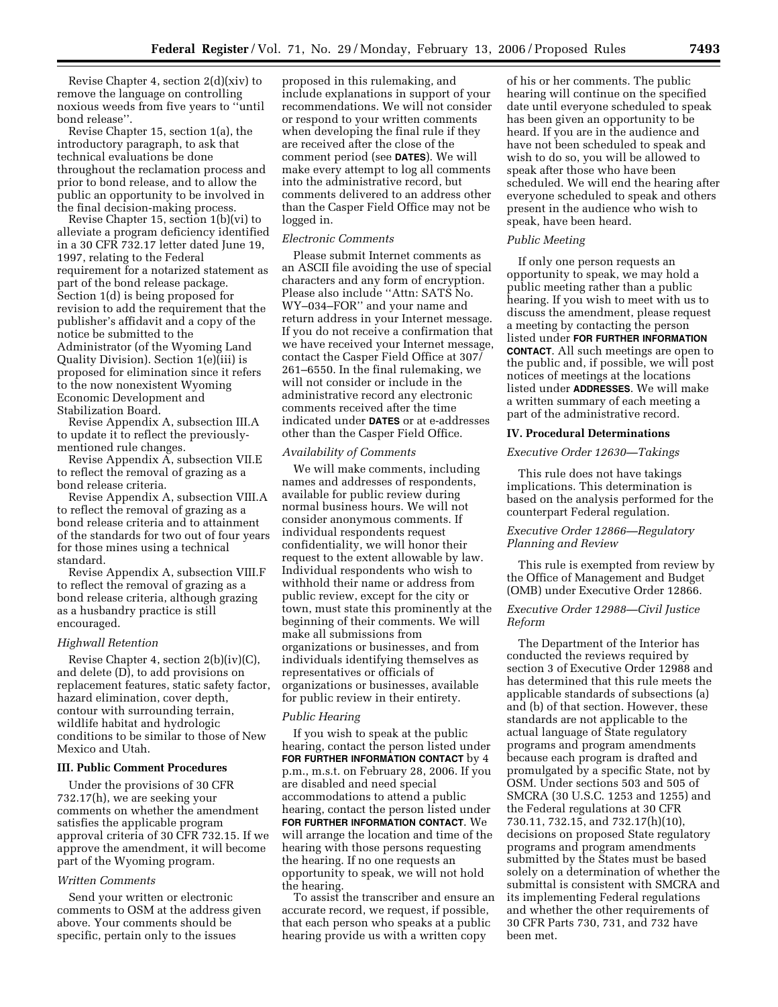Revise Chapter 4, section 2(d)(xiv) to remove the language on controlling noxious weeds from five years to ''until bond release''.

Revise Chapter 15, section 1(a), the introductory paragraph, to ask that technical evaluations be done throughout the reclamation process and prior to bond release, and to allow the public an opportunity to be involved in the final decision-making process.

Revise Chapter 15, section 1(b)(vi) to alleviate a program deficiency identified in a 30 CFR 732.17 letter dated June 19, 1997, relating to the Federal requirement for a notarized statement as part of the bond release package. Section 1(d) is being proposed for revision to add the requirement that the publisher's affidavit and a copy of the notice be submitted to the Administrator (of the Wyoming Land Quality Division). Section 1(e)(iii) is proposed for elimination since it refers to the now nonexistent Wyoming Economic Development and Stabilization Board.

Revise Appendix A, subsection III.A to update it to reflect the previouslymentioned rule changes.

Revise Appendix A, subsection VII.E to reflect the removal of grazing as a bond release criteria.

Revise Appendix A, subsection VIII.A to reflect the removal of grazing as a bond release criteria and to attainment of the standards for two out of four years for those mines using a technical standard.

Revise Appendix A, subsection VIII.F to reflect the removal of grazing as a bond release criteria, although grazing as a husbandry practice is still encouraged.

#### *Highwall Retention*

Revise Chapter 4, section 2(b)(iv)(C), and delete (D), to add provisions on replacement features, static safety factor, hazard elimination, cover depth, contour with surrounding terrain, wildlife habitat and hydrologic conditions to be similar to those of New Mexico and Utah.

#### **III. Public Comment Procedures**

Under the provisions of 30 CFR 732.17(h), we are seeking your comments on whether the amendment satisfies the applicable program approval criteria of 30 CFR 732.15. If we approve the amendment, it will become part of the Wyoming program.

#### *Written Comments*

Send your written or electronic comments to OSM at the address given above. Your comments should be specific, pertain only to the issues

proposed in this rulemaking, and include explanations in support of your recommendations. We will not consider or respond to your written comments when developing the final rule if they are received after the close of the comment period (see **DATES**). We will make every attempt to log all comments into the administrative record, but comments delivered to an address other than the Casper Field Office may not be logged in.

#### *Electronic Comments*

Please submit Internet comments as an ASCII file avoiding the use of special characters and any form of encryption. Please also include ''Attn: SATS No. WY–034–FOR'' and your name and return address in your Internet message. If you do not receive a confirmation that we have received your Internet message, contact the Casper Field Office at 307/ 261–6550. In the final rulemaking, we will not consider or include in the administrative record any electronic comments received after the time indicated under **DATES** or at e-addresses other than the Casper Field Office.

#### *Availability of Comments*

We will make comments, including names and addresses of respondents, available for public review during normal business hours. We will not consider anonymous comments. If individual respondents request confidentiality, we will honor their request to the extent allowable by law. Individual respondents who wish to withhold their name or address from public review, except for the city or town, must state this prominently at the beginning of their comments. We will make all submissions from organizations or businesses, and from individuals identifying themselves as representatives or officials of organizations or businesses, available for public review in their entirety.

#### *Public Hearing*

If you wish to speak at the public hearing, contact the person listed under **FOR FURTHER INFORMATION CONTACT** by 4 p.m., m.s.t. on February 28, 2006. If you are disabled and need special accommodations to attend a public hearing, contact the person listed under **FOR FURTHER INFORMATION CONTACT**. We will arrange the location and time of the hearing with those persons requesting the hearing. If no one requests an opportunity to speak, we will not hold the hearing.

To assist the transcriber and ensure an accurate record, we request, if possible, that each person who speaks at a public hearing provide us with a written copy

of his or her comments. The public hearing will continue on the specified date until everyone scheduled to speak has been given an opportunity to be heard. If you are in the audience and have not been scheduled to speak and wish to do so, you will be allowed to speak after those who have been scheduled. We will end the hearing after everyone scheduled to speak and others present in the audience who wish to speak, have been heard.

#### *Public Meeting*

If only one person requests an opportunity to speak, we may hold a public meeting rather than a public hearing. If you wish to meet with us to discuss the amendment, please request a meeting by contacting the person listed under **FOR FURTHER INFORMATION CONTACT**. All such meetings are open to the public and, if possible, we will post notices of meetings at the locations listed under **ADDRESSES**. We will make a written summary of each meeting a part of the administrative record.

#### **IV. Procedural Determinations**

#### *Executive Order 12630—Takings*

This rule does not have takings implications. This determination is based on the analysis performed for the counterpart Federal regulation.

# *Executive Order 12866—Regulatory Planning and Review*

This rule is exempted from review by the Office of Management and Budget (OMB) under Executive Order 12866.

#### *Executive Order 12988—Civil Justice Reform*

The Department of the Interior has conducted the reviews required by section 3 of Executive Order 12988 and has determined that this rule meets the applicable standards of subsections (a) and (b) of that section. However, these standards are not applicable to the actual language of State regulatory programs and program amendments because each program is drafted and promulgated by a specific State, not by OSM. Under sections 503 and 505 of SMCRA (30 U.S.C. 1253 and 1255) and the Federal regulations at 30 CFR 730.11, 732.15, and 732.17(h)(10), decisions on proposed State regulatory programs and program amendments submitted by the States must be based solely on a determination of whether the submittal is consistent with SMCRA and its implementing Federal regulations and whether the other requirements of 30 CFR Parts 730, 731, and 732 have been met.